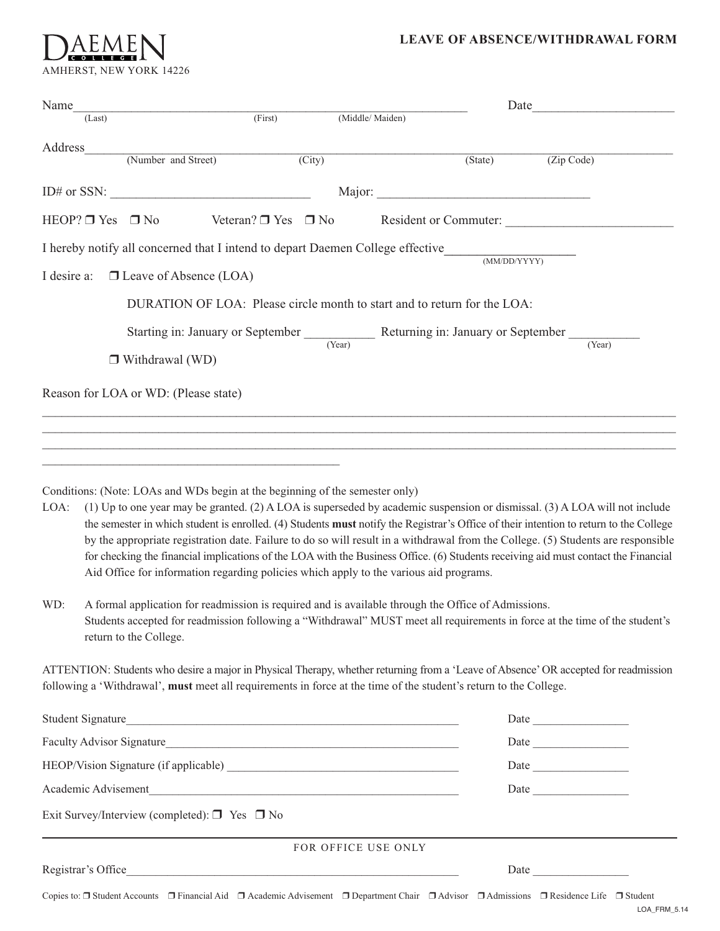# AEMEN AMHERST, NEW YORK 14226

### **LEAVE OF ABSENCE/WITHDRAWAL FORM**

| Name               |                                                                                                                                                                                                                                                                                                                                                                                                                                                                                                                                                                                      |                               |                     | Date    |                                                                                                                                   |
|--------------------|--------------------------------------------------------------------------------------------------------------------------------------------------------------------------------------------------------------------------------------------------------------------------------------------------------------------------------------------------------------------------------------------------------------------------------------------------------------------------------------------------------------------------------------------------------------------------------------|-------------------------------|---------------------|---------|-----------------------------------------------------------------------------------------------------------------------------------|
|                    | (Last)                                                                                                                                                                                                                                                                                                                                                                                                                                                                                                                                                                               | (First)                       | (Middle/Maiden)     |         |                                                                                                                                   |
| Address            | (Number and Street)                                                                                                                                                                                                                                                                                                                                                                                                                                                                                                                                                                  |                               |                     |         |                                                                                                                                   |
|                    |                                                                                                                                                                                                                                                                                                                                                                                                                                                                                                                                                                                      | $\overline{(City)}$           |                     | (State) | (Zip Code)                                                                                                                        |
|                    |                                                                                                                                                                                                                                                                                                                                                                                                                                                                                                                                                                                      |                               |                     |         |                                                                                                                                   |
|                    | HEOP? $\Box$ Yes $\Box$ No                                                                                                                                                                                                                                                                                                                                                                                                                                                                                                                                                           | Veteran? $\Box$ Yes $\Box$ No |                     |         | Resident or Commuter:                                                                                                             |
|                    | I hereby notify all concerned that I intend to depart Daemen College effective (MM/DD/YYYY)                                                                                                                                                                                                                                                                                                                                                                                                                                                                                          |                               |                     |         |                                                                                                                                   |
| I desire a:        | $\Box$ Leave of Absence (LOA)                                                                                                                                                                                                                                                                                                                                                                                                                                                                                                                                                        |                               |                     |         |                                                                                                                                   |
|                    | DURATION OF LOA: Please circle month to start and to return for the LOA:                                                                                                                                                                                                                                                                                                                                                                                                                                                                                                             |                               |                     |         |                                                                                                                                   |
|                    | Starting in: January or September Returning in: January or September $\frac{1}{(Year)}$                                                                                                                                                                                                                                                                                                                                                                                                                                                                                              |                               |                     |         |                                                                                                                                   |
|                    | $\Box$ Withdrawal (WD)                                                                                                                                                                                                                                                                                                                                                                                                                                                                                                                                                               |                               |                     |         |                                                                                                                                   |
|                    | Reason for LOA or WD: (Please state)                                                                                                                                                                                                                                                                                                                                                                                                                                                                                                                                                 |                               |                     |         |                                                                                                                                   |
| LOA:<br>WD:        | Conditions: (Note: LOAs and WDs begin at the beginning of the semester only)<br>(1) Up to one year may be granted. (2) A LOA is superseded by academic suspension or dismissal. (3) A LOA will not include<br>the semester in which student is enrolled. (4) Students must notify the Registrar's Office of their intention to return to the College<br>for checking the financial implications of the LOA with the Business Office. (6) Students receiving aid must contact the Financial<br>Aid Office for information regarding policies which apply to the various aid programs. |                               |                     |         | by the appropriate registration date. Failure to do so will result in a withdrawal from the College. (5) Students are responsible |
|                    | A formal application for readmission is required and is available through the Office of Admissions.<br>Students accepted for readmission following a "Withdrawal" MUST meet all requirements in force at the time of the student's<br>return to the College.                                                                                                                                                                                                                                                                                                                         |                               |                     |         |                                                                                                                                   |
|                    | ATTENTION: Students who desire a major in Physical Therapy, whether returning from a 'Leave of Absence' OR accepted for readmission<br>following a 'Withdrawal', must meet all requirements in force at the time of the student's return to the College.                                                                                                                                                                                                                                                                                                                             |                               |                     |         |                                                                                                                                   |
|                    | Student Signature                                                                                                                                                                                                                                                                                                                                                                                                                                                                                                                                                                    |                               |                     |         |                                                                                                                                   |
|                    |                                                                                                                                                                                                                                                                                                                                                                                                                                                                                                                                                                                      |                               |                     |         |                                                                                                                                   |
|                    |                                                                                                                                                                                                                                                                                                                                                                                                                                                                                                                                                                                      |                               |                     |         | Date                                                                                                                              |
|                    | Academic Advisement                                                                                                                                                                                                                                                                                                                                                                                                                                                                                                                                                                  |                               |                     |         | Date                                                                                                                              |
|                    | Exit Survey/Interview (completed): $\Box$ Yes $\Box$ No                                                                                                                                                                                                                                                                                                                                                                                                                                                                                                                              |                               |                     |         |                                                                                                                                   |
|                    |                                                                                                                                                                                                                                                                                                                                                                                                                                                                                                                                                                                      |                               | FOR OFFICE USE ONLY |         |                                                                                                                                   |
| Registrar's Office | <u> 1989 - Johann Harry Harry Harry Harry Harry Harry Harry Harry Harry Harry Harry Harry Harry Harry Harry Harry</u>                                                                                                                                                                                                                                                                                                                                                                                                                                                                |                               |                     |         |                                                                                                                                   |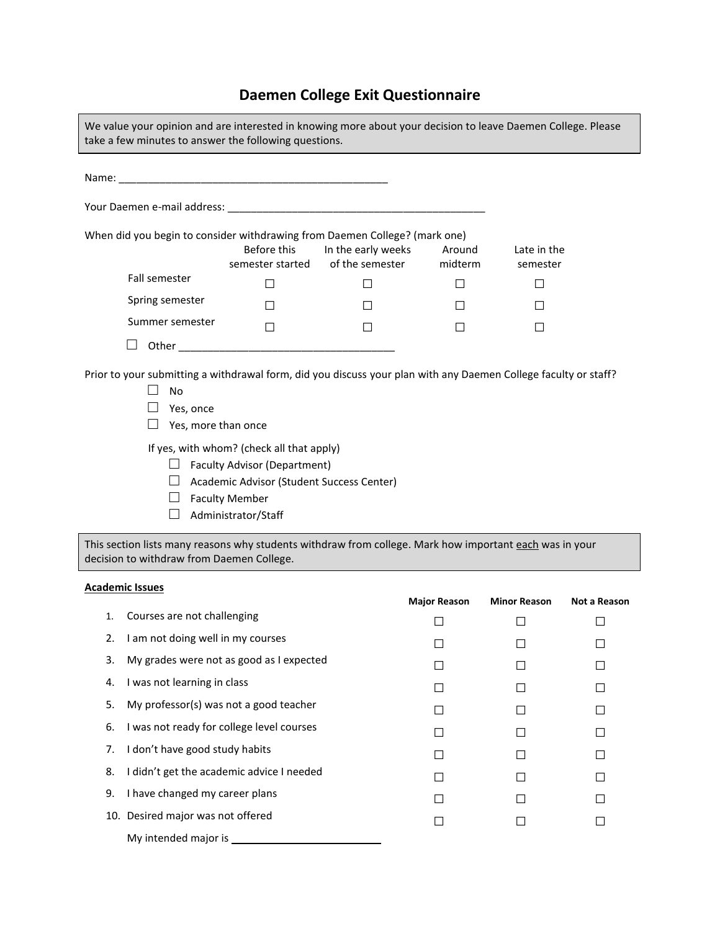## **Daemen College Exit Questionnaire**

| We value your opinion and are interested in knowing more about your decision to leave Daemen College. Please<br>take a few minutes to answer the following questions.         |                         |        |   |  |  |  |  |
|-------------------------------------------------------------------------------------------------------------------------------------------------------------------------------|-------------------------|--------|---|--|--|--|--|
|                                                                                                                                                                               |                         |        |   |  |  |  |  |
|                                                                                                                                                                               |                         |        |   |  |  |  |  |
| When did you begin to consider withdrawing from Daemen College? (mark one)                                                                                                    | Late in the<br>semester |        |   |  |  |  |  |
| <b>Fall semester</b>                                                                                                                                                          |                         | $\Box$ | П |  |  |  |  |
| Spring semester                                                                                                                                                               |                         | П      | П |  |  |  |  |
| Summer semester                                                                                                                                                               |                         | П      | П |  |  |  |  |
|                                                                                                                                                                               |                         |        |   |  |  |  |  |
| Prior to your submitting a withdrawal form, did you discuss your plan with any Daemen College faculty or staff?<br><b>No</b><br>Yes, once<br>$\Box$<br>Yes, more than once    |                         |        |   |  |  |  |  |
| If yes, with whom? (check all that apply)<br><b>Faculty Advisor (Department)</b><br>Academic Advisor (Student Success Center)<br><b>Faculty Member</b><br>Administrator/Staff |                         |        |   |  |  |  |  |

This section lists many reasons why students withdraw from college. Mark how important each was in your decision to withdraw from Daemen College.

#### **Academic Issues**

|    |                                           | <b>Major Reason</b> | <b>Minor Reason</b> | Not a Reason |
|----|-------------------------------------------|---------------------|---------------------|--------------|
| 1. | Courses are not challenging               |                     |                     |              |
| 2. | I am not doing well in my courses         |                     |                     |              |
| 3. | My grades were not as good as I expected  |                     |                     |              |
| 4. | I was not learning in class               |                     |                     |              |
| 5. | My professor(s) was not a good teacher    | H                   |                     |              |
| 6. | I was not ready for college level courses |                     |                     |              |
| 7. | I don't have good study habits            |                     |                     |              |
| 8. | I didn't get the academic advice I needed | $\mathsf{L}$        |                     |              |
| 9. | I have changed my career plans            |                     |                     |              |
|    | 10. Desired major was not offered         |                     |                     |              |
|    | My intended major is                      |                     |                     |              |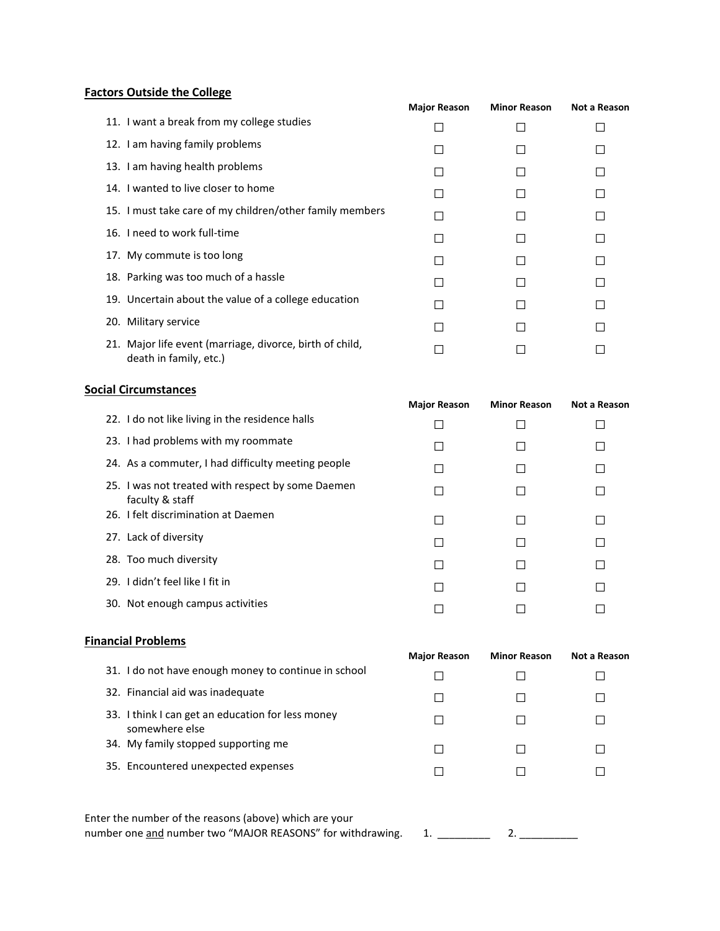## **Factors Outside the College**

|                                                                                    | <b>Major Reason</b> | <b>Minor Reason</b> | Not a Reason |
|------------------------------------------------------------------------------------|---------------------|---------------------|--------------|
| 11. I want a break from my college studies                                         |                     |                     |              |
| 12. I am having family problems                                                    |                     |                     |              |
| 13. I am having health problems                                                    |                     |                     |              |
| 14. I wanted to live closer to home                                                |                     |                     |              |
| 15. I must take care of my children/other family members                           |                     |                     |              |
| 16. I need to work full-time                                                       |                     |                     |              |
| 17. My commute is too long                                                         |                     |                     | $\Box$       |
| 18. Parking was too much of a hassle                                               |                     |                     |              |
| 19. Uncertain about the value of a college education                               |                     |                     |              |
| 20. Military service                                                               |                     |                     |              |
| 21. Major life event (marriage, divorce, birth of child,<br>death in family, etc.) |                     |                     |              |

#### **Social Circumstances**

|                                                                      | <b>Major Reason</b> | <b>Minor Reason</b> | Not a Reason |
|----------------------------------------------------------------------|---------------------|---------------------|--------------|
| 22. I do not like living in the residence halls                      |                     |                     |              |
| 23. I had problems with my roommate                                  |                     |                     |              |
| 24. As a commuter, I had difficulty meeting people                   |                     |                     |              |
| 25. I was not treated with respect by some Daemen<br>faculty & staff |                     |                     |              |
| 26. I felt discrimination at Daemen                                  |                     |                     | $\Box$       |
| 27. Lack of diversity                                                |                     |                     |              |
| 28. Too much diversity                                               |                     |                     | $\Box$       |
| 29. I didn't feel like I fit in                                      |                     |                     |              |
| 30. Not enough campus activities                                     |                     |                     |              |
|                                                                      |                     |                     |              |

## **Financial Problems**

|                                                                     | <b>Major Reason</b> | <b>Minor Reason</b> | Not a Reason |
|---------------------------------------------------------------------|---------------------|---------------------|--------------|
| 31. I do not have enough money to continue in school                |                     |                     |              |
| 32. Financial aid was inadequate                                    |                     |                     |              |
| 33. I think I can get an education for less money<br>somewhere else |                     |                     |              |
| 34. My family stopped supporting me                                 |                     |                     |              |
| 35. Encountered unexpected expenses                                 |                     |                     |              |
|                                                                     |                     |                     |              |
|                                                                     |                     |                     |              |

Enter the number of the reasons (above) which are your number one and number two "MAJOR REASONS" for withdrawing. 1. \_\_\_\_\_\_\_\_ 2. \_\_\_\_\_\_\_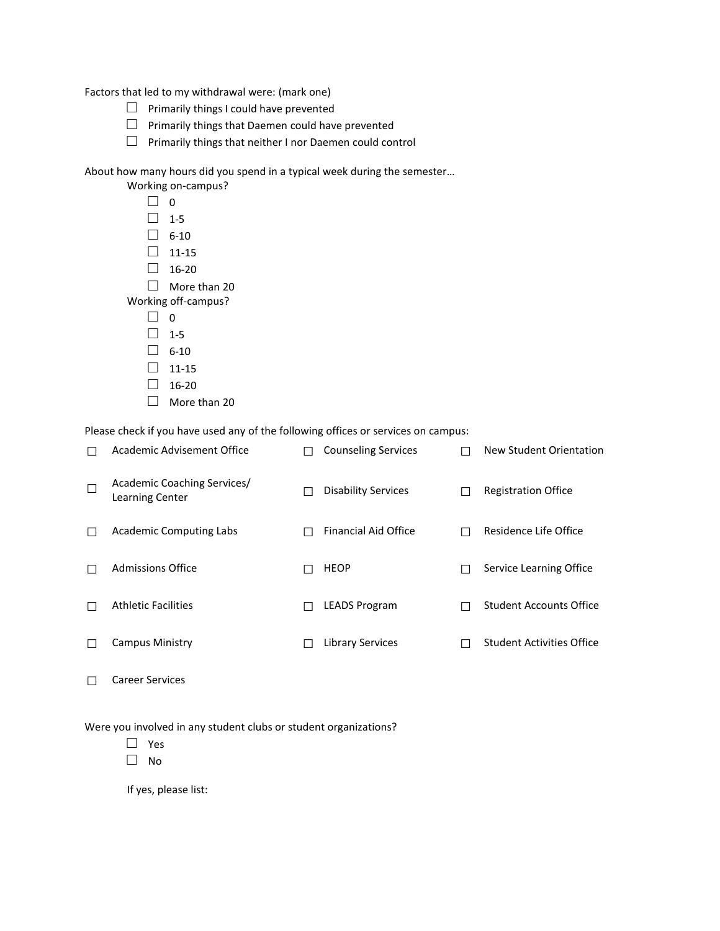Factors that led to my withdrawal were: (mark one)

- $\Box$  Primarily things I could have prevented
- $\Box$  Primarily things that Daemen could have prevented
- $\square$  Primarily things that neither I nor Daemen could control

About how many hours did you spend in a typical week during the semester…

|              | Working on-campus?  |
|--------------|---------------------|
|              | 0                   |
|              | 1-5                 |
| $\mathsf{I}$ | $6-10$              |
|              | 11-15               |
|              | $16 - 20$           |
|              | More than 20        |
|              | Working off-campus? |
|              | U                   |
|              | $1 - 5$             |
|              | $6-10$              |
|              | $11 - 15$           |
|              | 16-20               |
|              |                     |

□ More than 20

Please check if you have used any of the following offices or services on campus:

| Academic Advisement Office                            | <b>Counseling Services</b> |               | New Student Orientation          |
|-------------------------------------------------------|----------------------------|---------------|----------------------------------|
| Academic Coaching Services/<br><b>Learning Center</b> | <b>Disability Services</b> |               | <b>Registration Office</b>       |
| <b>Academic Computing Labs</b>                        | Financial Aid Office       | $\mathcal{L}$ | Residence Life Office            |
| Admissions Office                                     | HEOP                       | П             | Service Learning Office          |
| <b>Athletic Facilities</b>                            | <b>LEADS Program</b>       | H             | <b>Student Accounts Office</b>   |
| Campus Ministry                                       | Library Services           |               | <b>Student Activities Office</b> |
|                                                       |                            |               |                                  |

□ Career Services

Were you involved in any student clubs or student organizations?

□ Yes

□ No

If yes, please list: